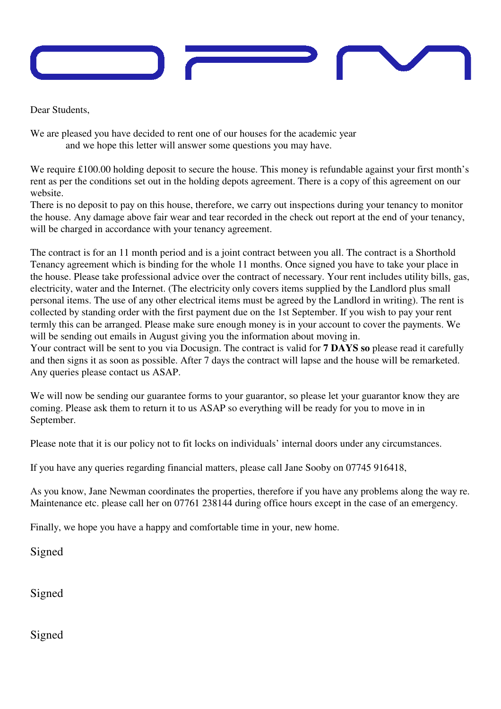

Dear Students,

We are pleased you have decided to rent one of our houses for the academic year and we hope this letter will answer some questions you may have.

We require £100.00 holding deposit to secure the house. This money is refundable against your first month's rent as per the conditions set out in the holding depots agreement. There is a copy of this agreement on our website.

There is no deposit to pay on this house, therefore, we carry out inspections during your tenancy to monitor the house. Any damage above fair wear and tear recorded in the check out report at the end of your tenancy, will be charged in accordance with your tenancy agreement.

The contract is for an 11 month period and is a joint contract between you all. The contract is a Shorthold Tenancy agreement which is binding for the whole 11 months. Once signed you have to take your place in the house. Please take professional advice over the contract of necessary. Your rent includes utility bills, gas, electricity, water and the Internet. (The electricity only covers items supplied by the Landlord plus small personal items. The use of any other electrical items must be agreed by the Landlord in writing). The rent is collected by standing order with the first payment due on the 1st September. If you wish to pay your rent termly this can be arranged. Please make sure enough money is in your account to cover the payments. We will be sending out emails in August giving you the information about moving in.

Your contract will be sent to you via Docusign. The contract is valid for **7 DAYS so** please read it carefully and then signs it as soon as possible. After 7 days the contract will lapse and the house will be remarketed. Any queries please contact us ASAP.

We will now be sending our guarantee forms to your guarantor, so please let your guarantor know they are coming. Please ask them to return it to us ASAP so everything will be ready for you to move in in September.

Please note that it is our policy not to fit locks on individuals' internal doors under any circumstances.

If you have any queries regarding financial matters, please call Jane Sooby on 07745 916418,

As you know, Jane Newman coordinates the properties, therefore if you have any problems along the way re. Maintenance etc. please call her on 07761 238144 during office hours except in the case of an emergency.

Finally, we hope you have a happy and comfortable time in your, new home.

Signed

Signed

Signed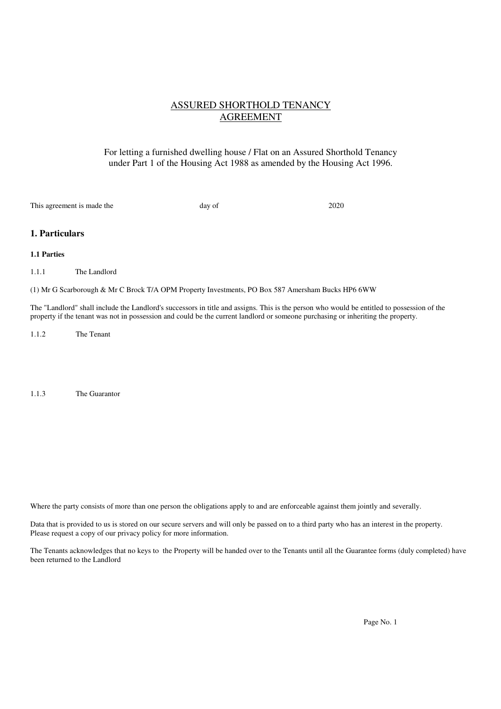## ASSURED SHORTHOLD TENANCY AGREEMENT

## For letting a furnished dwelling house / Flat on an Assured Shorthold Tenancy under Part 1 of the Housing Act 1988 as amended by the Housing Act 1996.

This agreement is made the day of 2020

## **1. Particulars**

## **1.1 Parties**

1.1.1 The Landlord

(1) Mr G Scarborough & Mr C Brock T/A OPM Property Investments, PO Box 587 Amersham Bucks HP6 6WW

The "Landlord" shall include the Landlord's successors in title and assigns. This is the person who would be entitled to possession of the property if the tenant was not in possession and could be the current landlord or someone purchasing or inheriting the property.

1.1.2 The Tenant

1.1.3 The Guarantor

Where the party consists of more than one person the obligations apply to and are enforceable against them jointly and severally.

Data that is provided to us is stored on our secure servers and will only be passed on to a third party who has an interest in the property. Please request a copy of our privacy policy for more information.

The Tenants acknowledges that no keys to the Property will be handed over to the Tenants until all the Guarantee forms (duly completed) have been returned to the Landlord

Page No. 1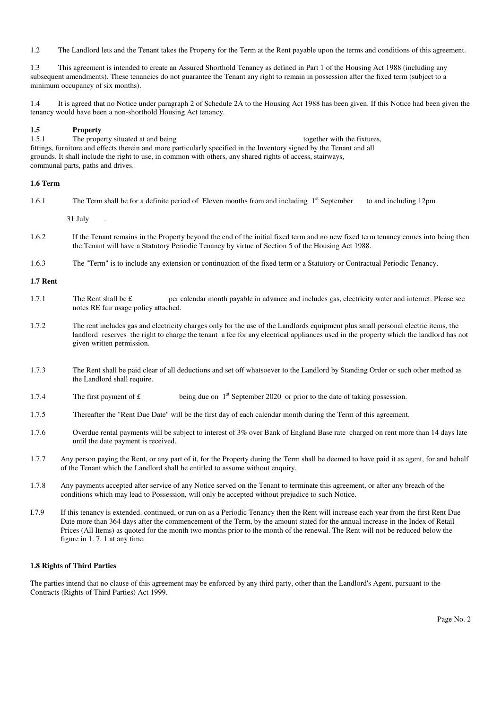1.2 The Landlord lets and the Tenant takes the Property for the Term at the Rent payable upon the terms and conditions of this agreement.

1.3 This agreement is intended to create an Assured Shorthold Tenancy as defined in Part 1 of the Housing Act 1988 (including any subsequent amendments). These tenancies do not guarantee the Tenant any right to remain in possession after the fixed term (subject to a minimum occupancy of six months).

1.4 It is agreed that no Notice under paragraph 2 of Schedule 2A to the Housing Act 1988 has been given. If this Notice had been given the tenancy would have been a non-shorthold Housing Act tenancy.

## **1.5 Property**

1.5.1 The property situated at and being together with the fixtures, fittings, furniture and effects therein and more particularly specified in the Inventory signed by the Tenant and all grounds. It shall include the right to use, in common with others, any shared rights of access, stairways, communal parts, paths and drives.

## **1.6 Term**

| 1.6.1 | The Term shall be for a definite period of Eleven months from and including 1 <sup>st</sup> September<br>to and including 12pm                                                                                                          |
|-------|-----------------------------------------------------------------------------------------------------------------------------------------------------------------------------------------------------------------------------------------|
|       | $31$ July $\qquad$ .                                                                                                                                                                                                                    |
| 1.6.2 | If the Tenant remains in the Property beyond the end of the initial fixed term and no new fixed term tenancy comes into being then<br>the Tenant will have a Statutory Periodic Tenancy by virtue of Section 5 of the Housing Act 1988. |

1.6.3 The "Term" is to include any extension or continuation of the fixed term or a Statutory or Contractual Periodic Tenancy.

## **1.7 Rent**

- 1.7.1 The Rent shall be  $\epsilon$  per calendar month payable in advance and includes gas, electricity water and internet. Please see notes RE fair usage policy attached.
- 1.7.2 The rent includes gas and electricity charges only for the use of the Landlords equipment plus small personal electric items, the landlord reserves the right to charge the tenant a fee for any electrical appliances used in the property which the landlord has not given written permission.
- 1.7.3 The Rent shall be paid clear of all deductions and set off whatsoever to the Landlord by Standing Order or such other method as the Landlord shall require.
- 1.7.4 The first payment of  $\mathbf{f}$  being due on  $1^{\text{st}}$  September 2020 or prior to the date of taking possession.
- 1.7.5 Thereafter the "Rent Due Date" will be the first day of each calendar month during the Term of this agreement.
- 1.7.6 Overdue rental payments will be subject to interest of 3% over Bank of England Base rate charged on rent more than 14 days late until the date payment is received.
- 1.7.7 Any person paying the Rent, or any part of it, for the Property during the Term shall be deemed to have paid it as agent, for and behalf of the Tenant which the Landlord shall be entitled to assume without enquiry.
- 1.7.8 Any payments accepted after service of any Notice served on the Tenant to terminate this agreement, or after any breach of the conditions which may lead to Possession, will only be accepted without prejudice to such Notice.
- I.7.9 If this tenancy is extended. continued, or run on as a Periodic Tenancy then the Rent will increase each year from the first Rent Due Date more than 364 days after the commencement of the Term, by the amount stated for the annual increase in the Index of Retail Prices (All Items) as quoted for the month two months prior to the month of the renewal. The Rent will not be reduced below the figure in 1. 7. 1 at any time.

## **1.8 Rights of Third Parties**

The parties intend that no clause of this agreement may be enforced by any third party, other than the Landlord's Agent, pursuant to the Contracts (Rights of Third Parties) Act 1999.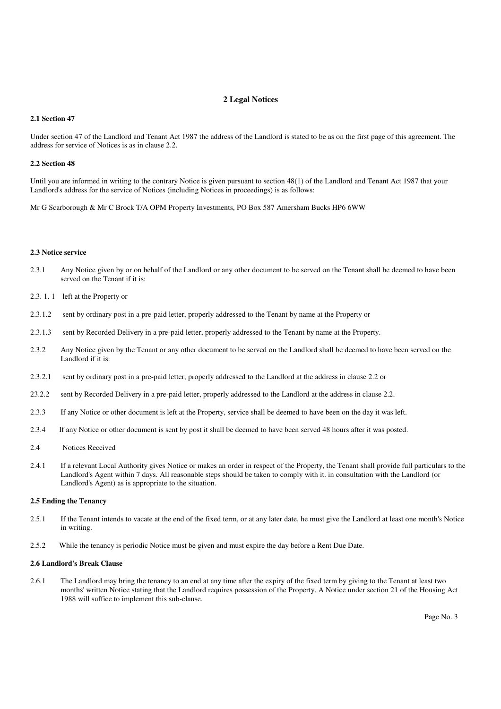## **2 Legal Notices**

#### **2.1 Section 47**

Under section 47 of the Landlord and Tenant Act 1987 the address of the Landlord is stated to be as on the first page of this agreement. The address for service of Notices is as in clause 2.2.

#### **2.2 Section 48**

Until you are informed in writing to the contrary Notice is given pursuant to section 48(1) of the Landlord and Tenant Act 1987 that your Landlord's address for the service of Notices (including Notices in proceedings) is as follows:

Mr G Scarborough & Mr C Brock T/A OPM Property Investments, PO Box 587 Amersham Bucks HP6 6WW

#### **2.3 Notice service**

- 2.3.1 Any Notice given by or on behalf of the Landlord or any other document to be served on the Tenant shall be deemed to have been served on the Tenant if it is:
- 2.3. 1. 1 left at the Property or
- 2.3.1.2 sent by ordinary post in a pre-paid letter, properly addressed to the Tenant by name at the Property or
- 2.3.1.3 sent by Recorded Delivery in a pre-paid letter, properly addressed to the Tenant by name at the Property.
- 2.3.2 Any Notice given by the Tenant or any other document to be served on the Landlord shall be deemed to have been served on the Landlord if it is:
- 2.3.2.1 sent by ordinary post in a pre-paid letter, properly addressed to the Landlord at the address in clause 2.2 or
- 23.2.2 sent by Recorded Delivery in a pre-paid letter, properly addressed to the Landlord at the address in clause 2.2.
- 2.3.3 If any Notice or other document is left at the Property, service shall be deemed to have been on the day it was left.
- 2.3.4 If any Notice or other document is sent by post it shall be deemed to have been served 48 hours after it was posted.
- 2.4 Notices Received
- 2.4.1 If a relevant Local Authority gives Notice or makes an order in respect of the Property, the Tenant shall provide full particulars to the Landlord's Agent within 7 days. All reasonable steps should be taken to comply with it. in consultation with the Landlord (or Landlord's Agent) as is appropriate to the situation.

#### **2.5 Ending the Tenancy**

- 2.5.1 If the Tenant intends to vacate at the end of the fixed term, or at any later date, he must give the Landlord at least one month's Notice in writing.
- 2.5.2 While the tenancy is periodic Notice must be given and must expire the day before a Rent Due Date.

#### **2.6 Landlord's Break Clause**

2.6.1 The Landlord may bring the tenancy to an end at any time after the expiry of the fixed term by giving to the Tenant at least two months' written Notice stating that the Landlord requires possession of the Property. A Notice under section 21 of the Housing Act 1988 will suffice to implement this sub-clause.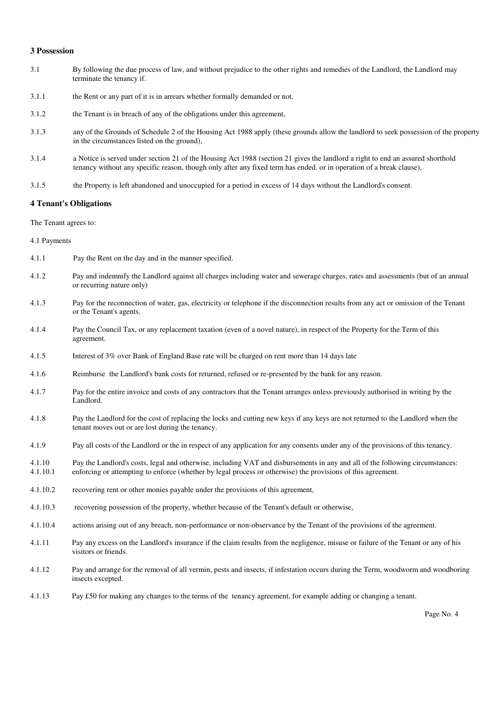#### **3 Possession**

- 3.1 By following the due process of law, and without prejudice to the other rights and remedies of the Landlord, the Landlord may terminate the tenancy if.
- 3.1.1 the Rent or any part of it is in arrears whether formally demanded or not,
- 3.1.2 the Tenant is in breach of any of the obligations under this agreement,
- 3.1.3 any of the Grounds of Schedule 2 of the Housing Act 1988 apply (these grounds allow the landlord to seek possession of the property in the circumstances listed on the ground),
- 3.1.4 a Notice is served under section 21 of the Housing Act 1988 (section 21 gives the landlord a right to end an assured shorthold tenancy without any specific reason, though only after any fixed term has ended. or in operation of a break clause),
- 3.1.5 the Property is left abandoned and unoccupied for a period in excess of 14 days without the Landlord's consent.

#### **4 Tenant's Obligations**

The Tenant agrees to:

4.1 Payments

- 4.1.1 Pay the Rent on the day and in the manner specified.
- 4.1.2 Pay and indemnify the Landlord against all charges including water and sewerage charges, rates and assessments (but of an annual or recurring nature only)
- 4.1.3 Pay for the reconnection of water, gas, electricity or telephone if the disconnection results from any act or omission of the Tenant or the Tenant's agents.
- 4.1.4 Pay the Council Tax, or any replacement taxation (even of a novel nature), in respect of the Property for the Term of this agreement.
- 4.1.5 Interest of 3% over Bank of England Base rate will be charged on rent more than 14 days late
- 4.1.6 Reimburse the Landlord's bank costs for returned, refused or re-presented by the bank for any reason.
- 4.1.7 Pay for the entire invoice and costs of any contractors that the Tenant arranges unless previously authorised in writing by the Landlord.
- 4.1.8 Pay the Landlord for the cost of replacing the locks and cutting new keys if any keys are not returned to the Landlord when the tenant moves out or are lost during the tenancy.
- 4.1.9 Pay all costs of the Landlord or the in respect of any application for any consents under any of the provisions of this tenancy.
- 4.1.10 Pay the Landlord's costs, legal and otherwise, including VAT and disbursements in any and all of the following circumstances: 4.1.10.1 enforcing or attempting to enforce (whether by legal process or otherwise) the provisions of this agreement.
- 4.1.10.2 recovering rent or other monies payable under the provisions of this agreement,
- 4.1.10.3 recovering possession of the property, whether because of the Tenant's default or otherwise,
- 4.1.10.4 actions arising out of any breach, non-performance or non-observance by the Tenant of the provisions of the agreement.
- 4.1.11 Pay any excess on the Landlord's insurance if the claim results from the negligence, misuse or failure of the Tenant or any of his visitors or friends.
- 4.1.12 Pay and arrange for the removal of all vermin, pests and insects, if infestation occurs during the Term, woodworm and woodboring insects excepted.
- 4.1.13 Pay £50 for making any changes to the terms of the tenancy agreement, for example adding or changing a tenant.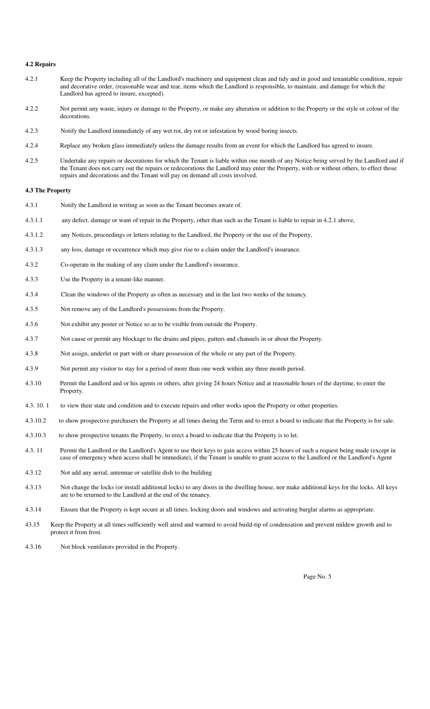## **4.2 Repairs**

- 4.2.1 Keep the Property including all of the Landlord's machinery and equipment clean and tidy and in good and tenantable condition, repair and decorative order, (reasonable wear and tear, items which the Landlord is responsible, to maintain. and damage for which the Landlord has agreed to insure, excepted).
- 4.2.2 Not permit any waste, injury or damage to the Property, or make any alteration or addition to the Property or the style or colour of the decorations.
- 4.2.3 Notify the Landlord immediately of any wet rot, dry rot or infestation by wood boring insects.
- 4.2.4 Replace any broken glass immediately unless the damage results from an event for which the Landlord has agreed to insure.
- 4.2.5 Undertake any repairs or decorations for which the Tenant is liable within one month of any Notice being served by the Landlord and if the Tenant does not carry out the repairs or redecorations the Landlord may enter the Property, with or without others, to effect those repairs and decorations and the Tenant will pay on demand all costs involved.

#### **4.3 The Property**

- 4.3.1 Notify the Landlord in writing as soon as the Tenant becomes aware of.
- 4.3.1.1 any defect. damage or want of repair in the Property, other than such as the Tenant is liable to repair in 4.2.1 above,
- 4.3.1.2 any Notices, proceedings or letters relating to the Landlord, the Property or the use of the Property,
- 4.3.1.3 any loss, damage or occurrence which may give rise to a claim under the Landlord's insurance.
- 4.3.2 Co-operate in the making of any claim under the Landlord's insurance.
- 4.3.3 Use the Property in a tenant-like manner.
- 4.3.4 Clean the windows of the Property as often as necessary and in the last two weeks of the tenancy.
- 4.3.5 Not remove any of the Landlord's possessions from the Property.
- 4.3.6 Not exhibit any poster or Notice so as to be visible from outside the Property.
- 4.3.7 Not cause or permit any blockage to the drains and pipes, gutters and channels in or about the Property.
- 4.3.8 Not assign, underlet or part with or share possession of the whole or any part of the Property.
- 4.3.9 Not permit any visitor to stay for a period of more than one week within any three month period.
- 4.3.10 Permit the Landlord and or his agents or others, after giving 24 hours Notice and at reasonable hours of the daytime, to enter the Property.
- 4.3. 10. 1 to view their state and condition and to execute repairs and other works upon the Property or other properties.
- 4.3.10.2 to show prospective purchasers the Property at all times during the Term and to erect a board to indicate that the Property is for sale.
- 4.3.10.3 to show prospective tenants the Property, to erect a board to indicate that the Property is to let.
- 4.3. 11 Permit the Landlord or the Landlord's Agent to use their keys to gain access within 25 hours of such a request being made (except in case of emergency when access shall be immediate), if the Tenant is unable to grant access to the Landlord or the Landlord's Agent
- 4.3.12 Not add any aerial, antennae or satellite dish to the building
- 4.3.13 Not change the locks (or install additional locks) to any doors in the dwelling house, nor make additional keys for the locks. All keys are to be returned to the Landlord at the end of the tenancy.
- 4.3.14 Ensure that the Property is kept secure at all times. locking doors and windows and activating burglar alarms as appropriate.
- 43.15 Keep the Property at all times sufficiently well aired and warmed to avoid build-tip of condensation and prevent mildew growth and to protect it from frost.
- 4.3.16 Not block ventilators provided in the Property.

Page No. 5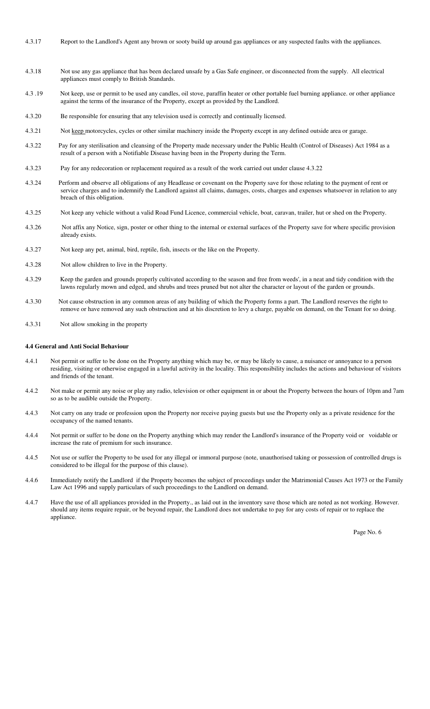- 4.3.17 Report to the Landlord's Agent any brown or sooty build up around gas appliances or any suspected faults with the appliances.
- 4.3.18 Not use any gas appliance that has been declared unsafe by a Gas Safe engineer, or disconnected from the supply. All electrical appliances must comply to British Standards.
- 4.3 .19 Not keep, use or permit to be used any candles, oil stove, paraffin heater or other portable fuel burning appliance. or other appliance against the terms of the insurance of the Property, except as provided by the Landlord.
- 4.3.20 Be responsible for ensuring that any television used is correctly and continually licensed.
- 4.3.21 Not keep motorcycles, cycles or other similar machinery inside the Property except in any defined outside area or garage.
- 4.3.22 Pay for any sterilisation and cleansing of the Property made necessary under the Public Health (Control of Diseases) Act 1984 as a result of a person with a Notifiable Disease having been in the Property during the Term.
- 4.3.23 Pay for any redecoration or replacement required as a result of the work carried out under clause 4.3.22
- 4.3.24 Perform and observe all obligations of any Headlease or covenant on the Property save for those relating to the payment of rent or service charges and to indemnify the Landlord against all claims, damages, costs, charges and expenses whatsoever in relation to any breach of this obligation.
- 4.3.25 Not keep any vehicle without a valid Road Fund Licence, commercial vehicle, boat, caravan, trailer, hut or shed on the Property.
- 4.3.26 Not affix any Notice, sign, poster or other thing to the internal or external surfaces of the Property save for where specific provision already exists.
- 4.3.27 Not keep any pet, animal, bird, reptile, fish, insects or the like on the Property.
- 4.3.28 Not allow children to live in the Property.
- 4.3.29 Keep the garden and grounds properly cultivated according to the season and free from weeds', in a neat and tidy condition with the lawns regularly mown and edged, and shrubs and trees pruned but not alter the character or layout of the garden or grounds.
- 4.3.30 Not cause obstruction in any common areas of any building of which the Property forms a part. The Landlord reserves the right to remove or have removed any such obstruction and at his discretion to levy a charge, payable on demand, on the Tenant for so doing.
- 4.3.31 Not allow smoking in the property

#### **4.4 General and Anti Social Behaviour**

- 4.4.1 Not permit or suffer to be done on the Property anything which may be, or may be likely to cause, a nuisance or annoyance to a person residing, visiting or otherwise engaged in a lawful activity in the locality. This responsibility includes the actions and behaviour of visitors and friends of the tenant.
- 4.4.2 Not make or permit any noise or play any radio, television or other equipment in or about the Property between the hours of 10pm and 7am so as to be audible outside the Property.
- 4.4.3 Not carry on any trade or profession upon the Property nor receive paying guests but use the Property only as a private residence for the occupancy of the named tenants.
- 4.4.4 Not permit or suffer to be done on the Property anything which may render the Landlord's insurance of the Property void or voidable or increase the rate of premium for such insurance.
- 4.4.5 Not use or suffer the Property to be used for any illegal or immoral purpose (note, unauthorised taking or possession of controlled drugs is considered to be illegal for the purpose of this clause).
- 4.4.6 Immediately notify the Landlord if the Property becomes the subject of proceedings under the Matrimonial Causes Act 1973 or the Family Law Act 1996 and supply particulars of such proceedings to the Landlord on demand.
- 4.4.7 Have the use of all appliances provided in the Property., as laid out in the inventory save those which are noted as not working. However. should any items require repair, or be beyond repair, the Landlord does not undertake to pay for any costs of repair or to replace the appliance.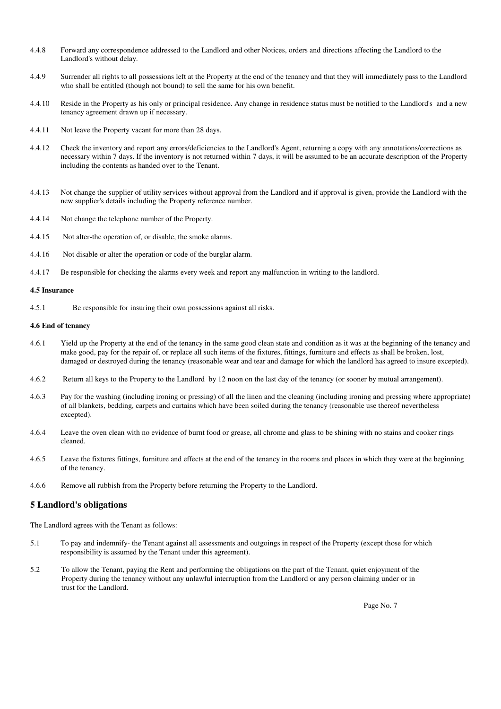- 4.4.8 Forward any correspondence addressed to the Landlord and other Notices, orders and directions affecting the Landlord to the Landlord's without delay.
- 4.4.9 Surrender all rights to all possessions left at the Property at the end of the tenancy and that they will immediately pass to the Landlord who shall be entitled (though not bound) to sell the same for his own benefit.
- 4.4.10 Reside in the Property as his only or principal residence. Any change in residence status must be notified to the Landlord's and a new tenancy agreement drawn up if necessary.
- 4.4.11 Not leave the Property vacant for more than 28 days.
- 4.4.12 Check the inventory and report any errors/deficiencies to the Landlord's Agent, returning a copy with any annotations/corrections as necessary within 7 days. If the inventory is not returned within 7 days, it will be assumed to be an accurate description of the Property including the contents as handed over to the Tenant.
- 4.4.13 Not change the supplier of utility services without approval from the Landlord and if approval is given, provide the Landlord with the new supplier's details including the Property reference number.
- 4.4.14 Not change the telephone number of the Property.
- 4.4.15 Not alter-the operation of, or disable, the smoke alarms.
- 4.4.16 Not disable or alter the operation or code of the burglar alarm.
- 4.4.17 Be responsible for checking the alarms every week and report any malfunction in writing to the landlord.

#### **4.5 Insurance**

4.5.1 Be responsible for insuring their own possessions against all risks.

#### **4.6 End of tenancy**

- 4.6.1 Yield up the Property at the end of the tenancy in the same good clean state and condition as it was at the beginning of the tenancy and make good, pay for the repair of, or replace all such items of the fixtures, fittings, furniture and effects as shall be broken, lost, damaged or destroyed during the tenancy (reasonable wear and tear and damage for which the landlord has agreed to insure excepted).
- 4.6.2 Return all keys to the Property to the Landlord by 12 noon on the last day of the tenancy (or sooner by mutual arrangement).
- 4.6.3 Pay for the washing (including ironing or pressing) of all the linen and the cleaning (including ironing and pressing where appropriate) of all blankets, bedding, carpets and curtains which have been soiled during the tenancy (reasonable use thereof nevertheless excepted).
- 4.6.4 Leave the oven clean with no evidence of burnt food or grease, all chrome and glass to be shining with no stains and cooker rings cleaned.
- 4.6.5 Leave the fixtures fittings, furniture and effects at the end of the tenancy in the rooms and places in which they were at the beginning of the tenancy.
- 4.6.6 Remove all rubbish from the Property before returning the Property to the Landlord.

## **5 Landlord's obligations**

The Landlord agrees with the Tenant as follows:

- 5.1 To pay and indemnify- the Tenant against all assessments and outgoings in respect of the Property (except those for which responsibility is assumed by the Tenant under this agreement).
- 5.2 To allow the Tenant, paying the Rent and performing the obligations on the part of the Tenant, quiet enjoyment of the Property during the tenancy without any unlawful interruption from the Landlord or any person claiming under or in trust for the Landlord.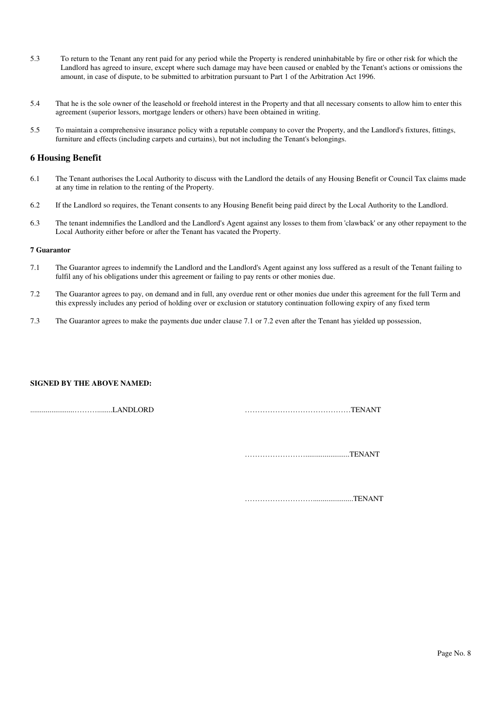- 5.3 To return to the Tenant any rent paid for any period while the Property is rendered uninhabitable by fire or other risk for which the Landlord has agreed to insure, except where such damage may have been caused or enabled by the Tenant's actions or omissions the amount, in case of dispute, to be submitted to arbitration pursuant to Part 1 of the Arbitration Act 1996.
- 5.4 That he is the sole owner of the leasehold or freehold interest in the Property and that all necessary consents to allow him to enter this agreement (superior lessors, mortgage lenders or others) have been obtained in writing.
- 5.5 To maintain a comprehensive insurance policy with a reputable company to cover the Property, and the Landlord's fixtures, fittings, furniture and effects (including carpets and curtains), but not including the Tenant's belongings.

## **6 Housing Benefit**

- 6.1 The Tenant authorises the Local Authority to discuss with the Landlord the details of any Housing Benefit or Council Tax claims made at any time in relation to the renting of the Property.
- 6.2 If the Landlord so requires, the Tenant consents to any Housing Benefit being paid direct by the Local Authority to the Landlord.
- 6.3 The tenant indemnifies the Landlord and the Landlord's Agent against any losses to them from 'clawback' or any other repayment to the Local Authority either before or after the Tenant has vacated the Property.

#### **7 Guarantor**

- 7.1 The Guarantor agrees to indemnify the Landlord and the Landlord's Agent against any loss suffered as a result of the Tenant failing to fulfil any of his obligations under this agreement or failing to pay rents or other monies due.
- 7.2 The Guarantor agrees to pay, on demand and in full, any overdue rent or other monies due under this agreement for the full Term and this expressly includes any period of holding over or exclusion or statutory continuation following expiry of any fixed term
- 7.3 The Guarantor agrees to make the payments due under clause 7.1 or 7.2 even after the Tenant has yielded up possession,

### **SIGNED BY THE ABOVE NAMED:**

.......................………........LANDLORD ……………………………………TENANT

…………………….......................TENANT

……………………….....................TENANT